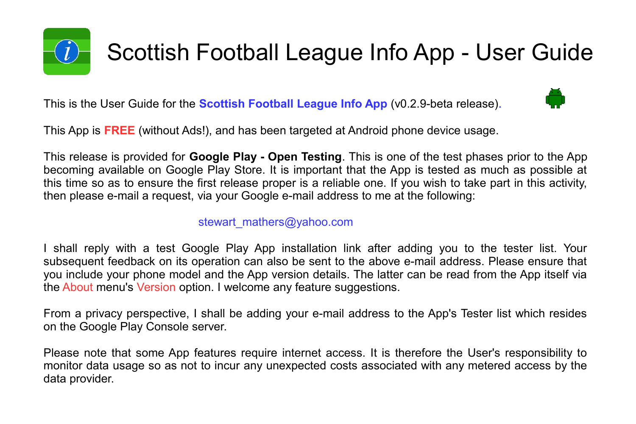

This is the User Guide for the **Scottish Football League Info App** (v0.2.9-beta release).



This App is **FREE** (without Ads!), and has been targeted at Android phone device usage.

This release is provided for **Google Play - Open Testing**. This is one of the test phases prior to the App becoming available on Google Play Store. It is important that the App is tested as much as possible at this time so as to ensure the first release proper is a reliable one. If you wish to take part in this activity, then please e-mail a request, via your Google e-mail address to me at the following:

#### stewart\_mathers@yahoo.com

I shall reply with a test Google Play App installation link after adding you to the tester list. Your subsequent feedback on its operation can also be sent to the above e-mail address. Please ensure that you include your phone model and the App version details. The latter can be read from the App itself via the About menu's Version option. I welcome any feature suggestions.

From a privacy perspective, I shall be adding your e-mail address to the App's Tester list which resides on the Google Play Console server.

Please note that some App features require internet access. It is therefore the User's responsibility to monitor data usage so as not to incur any unexpected costs associated with any metered access by the data provider.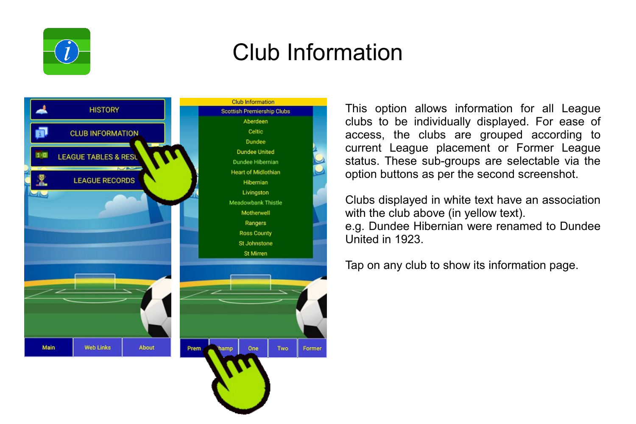

### Club Information



This option allows information for all League clubs to be individually displayed. For ease of access, the clubs are grouped according to current League placement or Former League status. These sub-groups are selectable via the option buttons as per the second screenshot.

Clubs displayed in white text have an association with the club above (in yellow text). e.g. Dundee Hibernian were renamed to Dundee United in 1923.

Tap on any club to show its information page.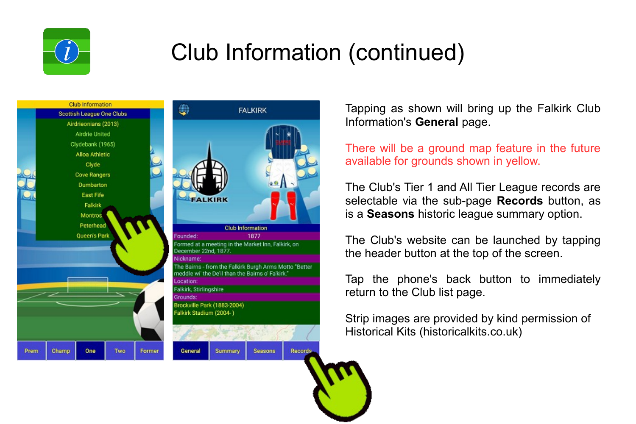





Tapping as shown will bring up the Falkirk Club Information's **General** page.

There will be a ground map feature in the future available for grounds shown in yellow.

The Club's Tier 1 and All Tier League records are selectable via the sub-page **Records** button, as is a **Seasons** historic league summary option.

The Club's website can be launched by tapping the header button at the top of the screen.

Tap the phone's back button to immediately return to the Club list page.

Strip images are provided by kind permission of Historical Kits (historicalkits.co.uk)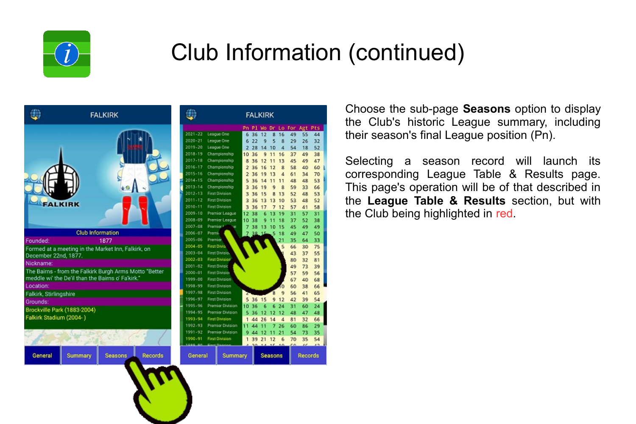

|                                                   | <b>FALKIRK</b>                                         |  |
|---------------------------------------------------|--------------------------------------------------------|--|
| <b>ALKIRK</b>                                     |                                                        |  |
|                                                   | <b>Club Information</b>                                |  |
| Founded:                                          | 1877                                                   |  |
| December 22nd, 1877.                              | Formed at a meeting in the Market Inn, Falkirk, on     |  |
| Nickname:                                         |                                                        |  |
| meddle wi' the De'il than the Bairns o' Fa'kirk.' | The Bairns - from the Falkirk Burgh Arms Motto "Better |  |
| Location:                                         |                                                        |  |
| Falkirk, Stirlingshire                            |                                                        |  |
| Grounds:<br>Brockville Park (1883-2004)           |                                                        |  |
| Falkirk Stadium (2004-)                           |                                                        |  |
|                                                   |                                                        |  |

Seasons

**Records** 

Summary

General

|                   | <b>FALKIRK</b>          |                         |           |    |     |                |    |        |         |                |
|-------------------|-------------------------|-------------------------|-----------|----|-----|----------------|----|--------|---------|----------------|
|                   |                         |                         | Pn        | Pl | Wo. | Dr             |    | Lo For | Agt     | Pts            |
| $1 - 22$          |                         | League One              | 6         | 36 | 12  | g              | 16 | 49     | 55      | 44             |
| $0 - 21$          |                         | League One              | 6         | 22 | 9   | 5              | 8  | 29     | 26      | 32             |
| $9 - 20$          |                         | League One              | 2         | 28 | 14  | 10             | 4  | 54     | 18      | 52             |
| $8 - 19$          |                         | Championship            | 10        | 36 | 9   | 11             | 16 | 37     | 49      | 38             |
| $7 - 18$          |                         | Championship            | 8         | 36 | 12  | 11             | 13 | 45     | 49      | 47             |
| $6 - 17$          |                         | Championship            | $\bar{z}$ | 36 | 16  | 12             | 8  | 58     | 40      | 60             |
| $5 - 16$          |                         | Championship            | 2         | 36 | 19  | 13             | 4  | 61     | 34      | 70             |
| $4 - 15$          |                         | Championship            | Ś         | 36 | 14  | 11             | 11 | 48     | 48      | 53             |
| $3 - 14$          |                         | Championship            | 3         | 36 | 19  | 9              | 8  | 59     | 33      | 66             |
| $2 - 13$          |                         | <b>First Division</b>   | з         | 36 | 15  | 8              | 13 | 52     | 48      | 53             |
| $1 - 12$          |                         | <b>First Division</b>   | 3         | 36 | 13  | 13             | 10 | 53     | 48      | 52             |
| $0 - 11$          |                         | <b>First Division</b>   | 3         | 36 | 17  | $\overline{7}$ | 12 | 57     | 41      | 58             |
| $9 - 10$          |                         | Premier League          | 12        | 38 | 6   | 13             | 19 | 31     | 57      | 31             |
| 8-09              |                         | Premier League          | 10        | 38 | 9   | 11             | 18 | 37     | 52      | 38             |
| $7 - 08$          | Premier I               | 118                     | 7         | 38 | 13  | 10             | 15 | 45     | 49      | 49             |
| $6 - 07$          | Premio                  |                         | 7         | 38 | 15. | .5             | 18 | 49     | 47      | 50             |
| $5 - 06$          | <b>Premier</b>          |                         |           |    |     |                | 21 | 35     | 64      | 33             |
| 4-05              | First Divis             |                         |           |    |     |                | Ś  | 66     | 30      | 75             |
| $0 - 04$          | First Division          |                         |           |    |     |                |    | 43     | 37      | 55             |
| $2 - 03$          | <b>First Division</b>   |                         |           |    |     |                |    | 80     | 32      | 81             |
| $1 - 02$          |                         | <b>First Divisie</b>    |           |    |     |                |    | 49     | 73      | 39             |
| $0 - 01$          |                         | <b>First Division</b>   |           |    |     |                |    | 57     | 59      | 56             |
| $9 - 00$          |                         | <b>First Division</b>   |           |    |     |                |    | 67     | 40      | 68             |
| 8-99              |                         | <b>First Division</b>   |           |    |     |                | ю  | 60     | 38      | 66             |
| $7 - 98$          |                         | <b>First Division</b>   | z         |    |     | 8              | 9  | 56     | 41      | 65             |
| $6 - 97$          |                         | <b>First Division</b>   | 5         | 36 | 15  | 9              | 12 | 42     | 39      | 54             |
| 5-96              |                         | <b>Premier Division</b> | 10        | 36 | 6   | 6              | 24 | 31     | 60      | 24             |
| 4-95              | <b>Premier Division</b> |                         | s         | 36 | 12  | 12             | 12 | 48     | 47      | 48             |
| $0 - 94$          | <b>First Division</b>   |                         | 1         | 44 | 26  | 14             | 4  | 81     | 32      | 66             |
| $2 - 93$          | <b>Premier Division</b> |                         | 11        | 44 | 11  | 7              | 26 | 60     | 86      | 29             |
| $1 - 92$          | <b>Premier Division</b> |                         | 9         | 44 | 12  | 11             | 21 | 54     | 73      | 35             |
| $0 - 91$          | <b>First Division</b>   |                         | 1         | 39 | 21  | 12             | 6  | 70     | 35      | 54             |
| a.<br>ᅟᄑ          |                         | <b>First Basicion</b>   |           | 54 | ٠   | 4.0            | 46 | c٥     | æ       | $\overline{z}$ |
| eneral<br>Summary |                         |                         |           |    |     | Seasons        |    |        | Records |                |

Choose the sub-page **Seasons** option to display the Club's historic League summary, including their season's final League position (Pn).

Selecting a season record will launch its corresponding League Table & Results page. This page's operation will be of that described in the **League Table & Results** section, but with the Club being highlighted in red.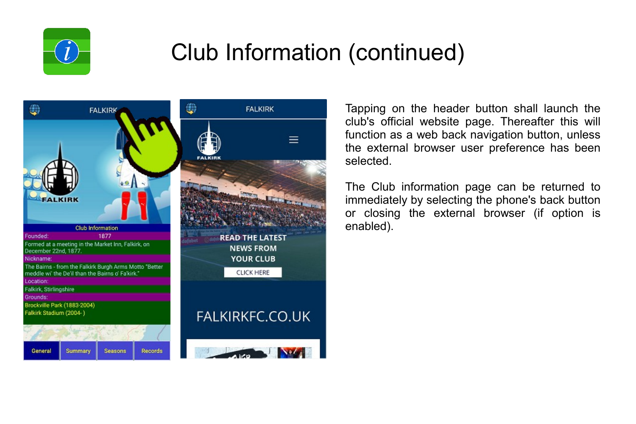



Tapping on the header button shall launch the club's official website page. Thereafter this will function as a web back navigation button, unless the external browser user preference has been selected.

The Club information page can be returned to immediately by selecting the phone's back button or closing the external browser (if option is enabled).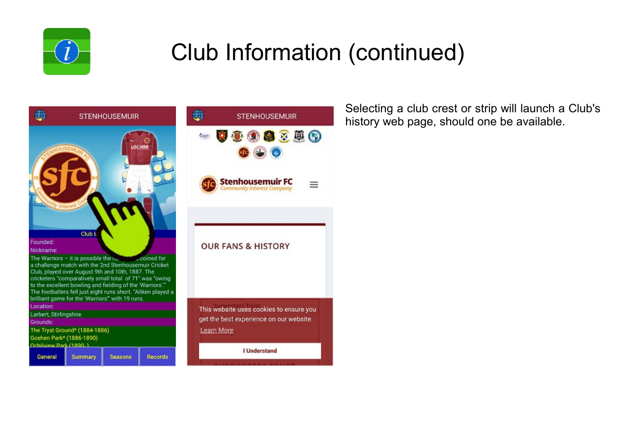

 $\equiv$ 



Selecting a club crest or strip will launch a Club's history web page, should one be available.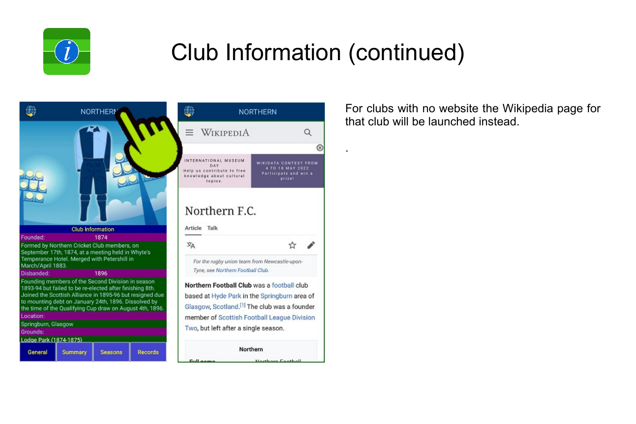

.





Northern

Lookham Foothall

For clubs with no website the Wikipedia page for that club will be launched instead.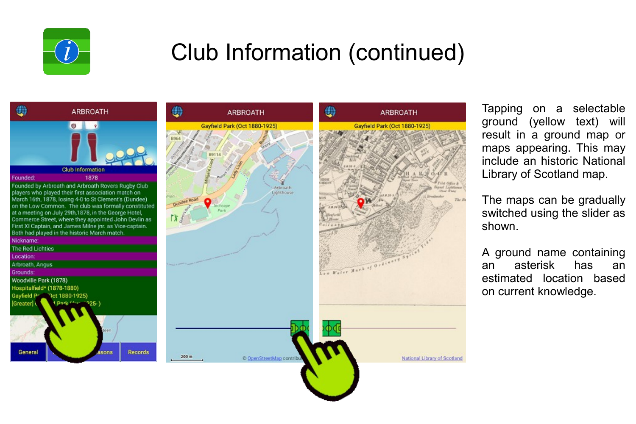



Tapping on a selectable ground (yellow text) will result in a ground map or maps appearing. This may include an historic National Library of Scotland map.

The maps can be gradually switched using the slider as shown.

A ground name containing an asterisk has an estimated location based on current knowledge.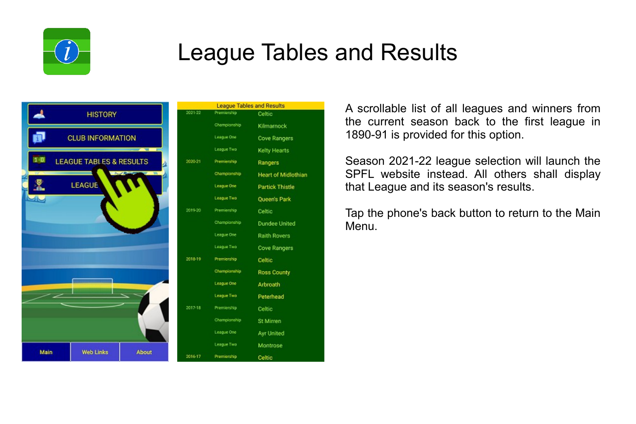

### League Tables and Results



|           |              | <b>League Tables and Results</b> |
|-----------|--------------|----------------------------------|
| $221-22$  | Premiership  | Celtic                           |
|           | Championship | Kilmarnock                       |
|           | League One   | Cove Rangers                     |
|           | League Two   | Kelty Hearts                     |
| 120-21    | Premiership  | Rangers                          |
|           | Championship | <b>Heart of Midlothian</b>       |
|           | League One   | Partick Thistle                  |
|           | League Two   | Queen's Park                     |
| 119-20    | Premiership  | Celtic                           |
|           | Championship | Dundee United                    |
|           | League One   | <b>Raith Rovers</b>              |
|           | League Two   | Cove Rangers                     |
| 118-19    | Premiership  | Celtic                           |
|           | Championship | Ross County                      |
|           | League One   | Arbroath                         |
|           | League Two   | Peterhead                        |
| $17 - 18$ | Premiership  | Celtic                           |
|           | Championship | St Mirren                        |
|           | League One   | Ayr United                       |
|           | League Two   | Montrose                         |
| 116-17    | Premiership  | Celtic                           |

A scrollable list of all leagues and winners from the current season back to the first league in 1890-91 is provided for this option.

Season 2021-22 league selection will launch the SPFL website instead. All others shall display that League and its season's results.

Tap the phone's back button to return to the Main Menu.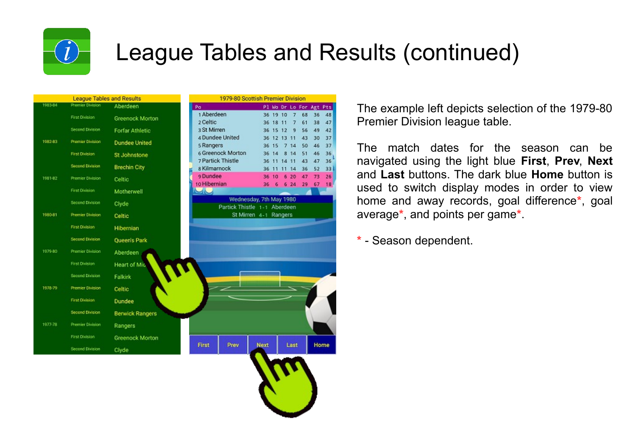

### League Tables and Results (continued)

**Home** 

| 1983-84            |                         |                        |                                                   | 1979-80 Scottish Premier Division |
|--------------------|-------------------------|------------------------|---------------------------------------------------|-----------------------------------|
|                    | <b>Premier Division</b> | Aberdeen               | Po<br>Pl Wo Dr Lo Fo                              |                                   |
|                    | <b>First Division</b>   | <b>Greenock Morton</b> | 1 Aberdeen<br>36 19 10<br>7 <sup>7</sup>          | r                                 |
|                    | Second Division         |                        | 2 Celtic<br>36 18 11<br>7<br>3 St Mirren          | ß                                 |
|                    |                         | <b>Forfar Athletic</b> | 36 15 12<br>9<br>4 Dundee United<br>36 12 13 11   |                                   |
| 1982-83            | <b>Premier Division</b> | <b>Dundee United</b>   | 5 Rangers<br>36 15<br>14<br>7                     |                                   |
|                    | <b>First Division</b>   | St Johnstone           | 6 Greenock Morton<br>36 14<br>8 14                |                                   |
|                    | <b>Second Division</b>  | <b>Brechin City</b>    | 7 Partick Thistle<br>11 14 11<br>36               |                                   |
|                    |                         |                        | s Kilmarnock<br>36<br>11<br>11 14<br>o Dundee     |                                   |
| 1981-82            | <b>Premier Division</b> | Celtic                 | 36<br>10<br>620<br>10 Hibernian<br>624<br>36<br>6 |                                   |
|                    | <b>First Division</b>   | Motherwell             | $\sim$                                            |                                   |
|                    | <b>Second Division</b>  |                        | Wednesday, 7th May 1980                           |                                   |
|                    |                         | Clyde                  | Partick Thistle 1-1 Aberdeen                      |                                   |
| 1980-81            | <b>Premier Division</b> | Celtic                 | St Mirren 4-1 Rangers                             |                                   |
|                    | <b>First Division</b>   | Hibernian              |                                                   |                                   |
|                    | <b>Second Division</b>  | Queen's Park           |                                                   |                                   |
| 1979-80            | <b>Premier Division</b> | Aberdeen               |                                                   |                                   |
|                    |                         |                        |                                                   |                                   |
|                    | <b>First Division</b>   | <b>Heart of Mid</b>    |                                                   |                                   |
|                    | <b>Second Division</b>  | Falkirk                |                                                   |                                   |
|                    | <b>Premier Division</b> | Celtic                 |                                                   |                                   |
|                    | <b>First Division</b>   | Dundee                 |                                                   |                                   |
|                    | Second Division         | <b>Berwick Rangers</b> |                                                   |                                   |
|                    | <b>Premier Division</b> | Rangers                |                                                   |                                   |
| 1978-79<br>1977-78 | <b>First Division</b>   | <b>Greenock Morton</b> | First<br>Prev<br><b>Next</b><br>Last              |                                   |

The example left depicts selection of the 1979-80 Premier Division league table.

The match dates for the season can be navigated using the light blue **First**, **Prev**, **Next** and **Last** buttons. The dark blue **Home** button is used to switch display modes in order to view home and away records, goal difference**\***, goal average**\***, and points per game**\***.

**\*** - Season dependent.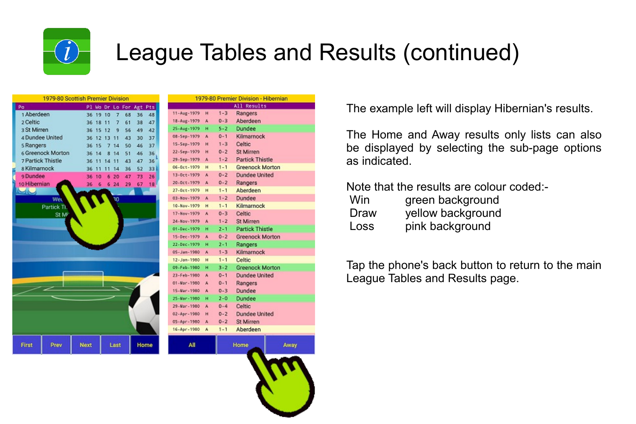

## League Tables and Results (continued)

| 1979-80 Scottish Premier Division |                   |             |    |    |      |                     |    |      |
|-----------------------------------|-------------------|-------------|----|----|------|---------------------|----|------|
| Po                                |                   |             |    |    |      | Pl Wo Dr Lo For Agt |    | Pts  |
| 1 Aberdeen                        |                   | 36          | 19 | 10 | 7    | 68                  | 36 | 48   |
| 2 Celtic                          |                   | 36          | 18 | 11 | 7    | 61                  | 38 | 47   |
| 3 St Mirren                       |                   | 36          | 15 | 12 | 9    | 56                  | 49 | 42   |
| 4 Dundee United                   |                   | 36          | 12 | 13 | 11   | 43                  | 30 | 37   |
| 5 Rangers                         |                   | 36          | 15 | 7  | 14   | 50                  | 46 | 37   |
|                                   | 6 Greenock Morton | 36          | 14 | 8  | 14   | 51                  | 46 | 36   |
| <b>7 Partick Thistle</b>          |                   | 36          | 11 | 14 | 11   | 43                  | 47 | 36   |
| s Kilmarnock                      |                   | 36          | 11 | 11 | 14   | 36                  | 52 | 33   |
| 9 Dundee                          |                   | 36          | 10 | 6  | 20   | 47                  | 73 | 26   |
| 10 Hibernian                      |                   | 36          | 6  | 6  | 24   | 29                  | 67 | 18   |
| $\mathcal{A}$                     |                   |             |    |    |      |                     |    |      |
|                                   | Wet               |             |    |    | 30   |                     |    |      |
|                                   | Partick Ti.       |             |    |    |      |                     |    |      |
|                                   | St Mi             |             |    |    |      |                     |    |      |
|                                   |                   |             |    |    |      |                     |    |      |
|                                   |                   |             |    |    |      |                     |    |      |
|                                   |                   |             |    |    |      |                     |    |      |
|                                   |                   |             |    |    |      |                     |    |      |
|                                   |                   |             |    |    |      |                     |    |      |
|                                   |                   |             |    |    |      |                     |    |      |
|                                   |                   |             |    |    |      |                     |    |      |
|                                   |                   |             |    |    |      |                     |    |      |
|                                   |                   |             |    |    |      |                     |    |      |
|                                   |                   |             |    |    |      |                     |    |      |
|                                   |                   |             |    |    |      |                     |    |      |
|                                   |                   |             |    |    |      |                     |    |      |
|                                   |                   |             |    |    |      |                     |    |      |
|                                   |                   |             |    |    |      |                     |    |      |
|                                   |                   |             |    |    |      |                     |    |      |
| First                             | Prev              | <b>Next</b> |    |    | Last |                     |    | Home |
|                                   |                   |             |    |    |      |                     |    |      |

| 1979-80 Premier Division - Hibernian |   |         |                        |      |  |
|--------------------------------------|---|---------|------------------------|------|--|
|                                      |   |         | All Results            |      |  |
| 11-Aug-1979                          | н | $1 - 3$ | Rangers                |      |  |
| 18-Aug-1979                          | A | $0 - 3$ | Aberdeen               |      |  |
| 25-Aug-1979                          | Ĥ | $5 - 2$ | <b>Dundee</b>          |      |  |
| 08-Sep-1979                          | A | $0 - 1$ | Kilmarnock             |      |  |
| 15-Sep-1979                          | н | $1 - 3$ | Celtic                 |      |  |
| 22-Sep-1979                          | н | $0 - 2$ | <b>St Mirren</b>       |      |  |
| 29-Sep-1979                          | A | $1 - 2$ | <b>Partick Thistle</b> |      |  |
| 06-0ct-1979                          | н | $1 - 1$ | <b>Greenock Morton</b> |      |  |
| 13-Oct-1979                          | A | $0 - 2$ | Dundee United          |      |  |
| 20-Dct-1979                          | A | $0 - 2$ | Rangers                |      |  |
| $27 - 0e$ t - 1979                   | н | $1 - 1$ | Aberdeen               |      |  |
| 03-Nov-1979                          | A | $1 - 2$ | Dundee                 |      |  |
| 10-Nov-1979                          | н | $1 - 1$ | Kilmarnock             |      |  |
| 17-Nov-1979                          | A | $0 - 3$ | Celtic                 |      |  |
| 24-Nov-1979                          | A | $1 - 2$ | <b>St Mirren</b>       |      |  |
| 01-Dec-1979                          | н | $2 - 1$ | <b>Partick Thistle</b> |      |  |
| 15-Dec-1979                          | A | $0 - 2$ | <b>Greenock Morton</b> |      |  |
| 22-Dec-1979                          | н | $2 - 1$ | Rangers                |      |  |
| 05-Jan-1980                          | A | $1 - 3$ | Kilmarnock             |      |  |
| 12-Jan-1980                          | н | $1 - 1$ | Celtic                 |      |  |
| 09-Feb-1980                          | н | $3 - 2$ | <b>Greenock Morton</b> |      |  |
| 23-Feb-1980                          | A | $0 - 1$ | <b>Dundee United</b>   |      |  |
| 01-Mar-1980                          | A | $0 - 1$ | Rangers                |      |  |
| 15-Var-1980                          | Â | $0 - 3$ | Dundee                 |      |  |
| 25-Mar-1980                          | н | $2 - 0$ | <b>Dundee</b>          |      |  |
| 29-Var-1980                          | A | $0 - 4$ | Celtic                 |      |  |
| 02-Apr-1980                          | н | $0 - 2$ | <b>Dundee United</b>   |      |  |
| 05-Apr-1980                          | A | $0 - 2$ | <b>St Mirren</b>       |      |  |
| 16-Apr-1980                          | Á | $1 - 1$ | Aberdeen               |      |  |
|                                      |   |         |                        |      |  |
| All                                  |   |         | Home                   | Away |  |
|                                      |   |         |                        |      |  |
|                                      |   |         |                        |      |  |

The example left will display Hibernian's results.

The Home and Away results only lists can also be displayed by selecting the sub-page options as indicated.

Note that the results are colour coded:-

| Win  | green background  |
|------|-------------------|
| Draw | yellow background |
| Loss | pink background   |

Tap the phone's back button to return to the main League Tables and Results page.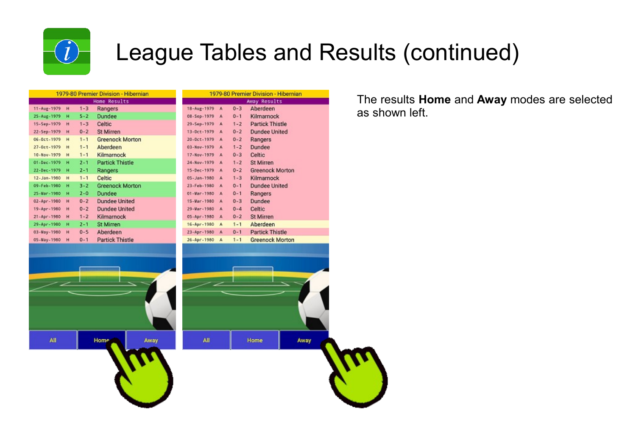

All

### League Tables and Results (continued)

Away

| 1979-80 Premier Division - Hibernian |   |         |                        |  |  |  |
|--------------------------------------|---|---------|------------------------|--|--|--|
|                                      |   |         | Home Results           |  |  |  |
| 11-Aug-1979                          | н | $1 - 3$ | Rangers                |  |  |  |
| 25-Aug-1979                          | н | $5 - 2$ | Dundee                 |  |  |  |
| 15-Sep-1979                          | н | $1 - 3$ | Celtic                 |  |  |  |
| 22-Sep-1979                          | H | $0 - 2$ | <b>St Mirren</b>       |  |  |  |
| $06 - 0ct - 1979$                    | н | $1 - 1$ | <b>Greenock Morton</b> |  |  |  |
| $27 - 0$ ct-1979                     | н | $1 - 1$ | Aberdeen               |  |  |  |
| $10 - Nov - 1979$                    | н | $1 - 1$ | Kilmarnock             |  |  |  |
| 01-Dec-1979                          | н | $2 - 1$ | <b>Partick Thistle</b> |  |  |  |
| 22-Dec-1979                          | н | $2 - 1$ | Rangers                |  |  |  |
| 12-Jan-1980                          | н | $1 - 1$ | Celtic                 |  |  |  |
| 09-Feb-1980                          | н | $3 - 2$ | <b>Greenock Morton</b> |  |  |  |
| 25-Mar-1980                          | н | $2 - 0$ | Dundee                 |  |  |  |
| 02-Apr-1980                          | н | $0 - 2$ | <b>Dundee United</b>   |  |  |  |
| 19-Apr-1980                          | н | $0 - 2$ | Dundee United          |  |  |  |
| 21-Apr-1980                          | н | $1 - 2$ | Kilmarnock             |  |  |  |
| 29-Apr-1980                          | н | $2 - 1$ | <b>St Mirren</b>       |  |  |  |
| 03-Vay-1980                          | H | $0 - 5$ | Aberdeen               |  |  |  |
| 05-Vay-1980                          | н | $0 - 1$ | <b>Partick Thistle</b> |  |  |  |

Home

Away

| 1979-80 Premier Division - Hibernian |   |         |                        |  |  |  |  |
|--------------------------------------|---|---------|------------------------|--|--|--|--|
|                                      |   |         | Away Results           |  |  |  |  |
| 18-Aug-1979                          | A | $0 - 3$ | Aberdeen               |  |  |  |  |
| 08-Sep-1979                          | A | $0 - 1$ | Kilmarnock             |  |  |  |  |
| 29-Sep-1979                          | A | $1 - 2$ | <b>Partick Thistle</b> |  |  |  |  |
| $13 - 0ct - 1979$                    | A | $0 - 2$ | <b>Dundee United</b>   |  |  |  |  |
| 20-Oct-1979                          | A | $0 - 2$ | Rangers                |  |  |  |  |
| 03-Nov-1979                          | A | $1 - 2$ | Dundee                 |  |  |  |  |
| 17-Nov-1979                          | A | $0 - 3$ | Celtic                 |  |  |  |  |
| 24-Nov-1979                          | A | $1 - 2$ | <b>St Mirren</b>       |  |  |  |  |
| $15 - Dec - 1979$                    | A | $0 - 2$ | <b>Greenock Morton</b> |  |  |  |  |
| 05-Jan-1980                          | A | $1 - 3$ | Kilmarnock             |  |  |  |  |
| 23-Feb-1980                          | A | $0 - 1$ | <b>Dundee United</b>   |  |  |  |  |
| $01 - Var - 1980$                    | A | $0 - 1$ | Rangers                |  |  |  |  |
| 15-Var-1980                          | A | $0 - 3$ | Dundee                 |  |  |  |  |
| 29-Mar-1980                          | A | $0 - 4$ | Celtic                 |  |  |  |  |
| 05-Apr-1980                          | A | $0 - 2$ | <b>St Mirren</b>       |  |  |  |  |
| 16-Apr-1980                          | A | $1 - 1$ | Aberdeen               |  |  |  |  |
| 23-Apr-1980                          | A | $0 - 1$ | <b>Partick Thistle</b> |  |  |  |  |
| 26-Apr-1980                          | A | $1 - 1$ | <b>Greenock Morton</b> |  |  |  |  |
|                                      |   |         |                        |  |  |  |  |

Home

All

The results **Home** and **Away** modes are selected as shown left.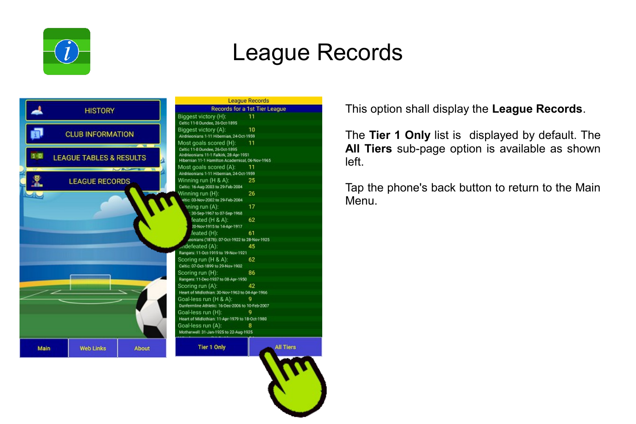

#### League Records



This option shall display the **League Records**.

The **Tier 1 Only** list is displayed by default. The **All Tiers** sub-page option is available as shown left.

Tap the phone's back button to return to the Main Menu.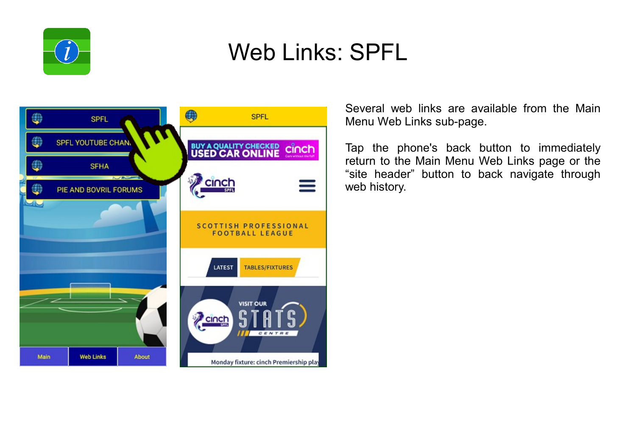

#### Web Links: SPFL



Several web links are available from the Main Menu Web Links sub-page.

Tap the phone's back button to immediately return to the Main Menu Web Links page or the "site header" button to back navigate through web history.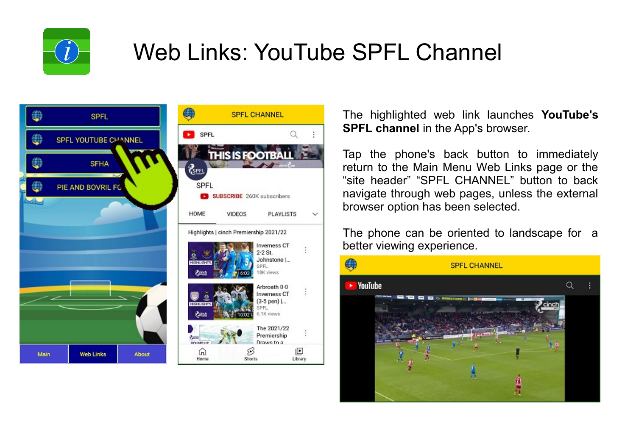

## Web Links: YouTube SPFL Channel



The highlighted web link launches **YouTube's SPFL channel** in the App's browser.

Tap the phone's back button to immediately return to the Main Menu Web Links page or the "site header" "SPFL CHANNEL" button to back navigate through web pages, unless the external browser option has been selected.

The phone can be oriented to landscape for a better viewing experience.

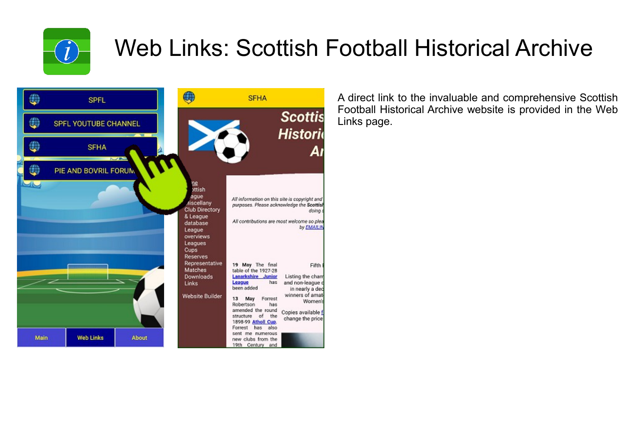

## Web Links: Scottish Football Historical Archive



A direct link to the invaluable and comprehensive Scottish Football Historical Archive website is provided in the Web Links page.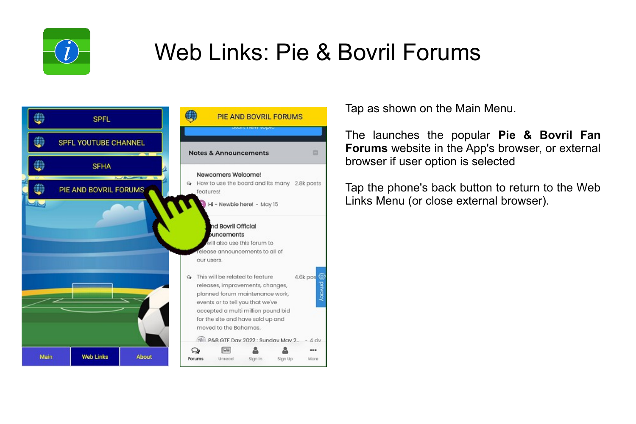

## Web Links: Pie & Bovril Forums



Tap as shown on the Main Menu.

The launches the popular **Pie & Bovril Fan Forums** website in the App's browser, or external browser if user option is selected

Tap the phone's back button to return to the Web Links Menu (or close external browser).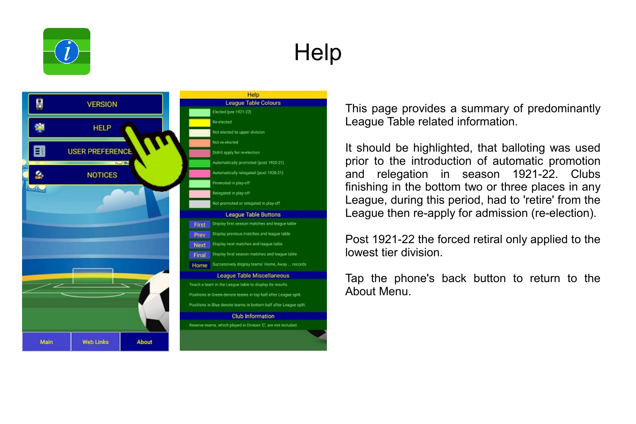

# **Help**



This page provides a summary of predominantly League Table related information.

It should be highlighted, that balloting was used prior to the introduction of automatic promotion and relegation in season 1921-22. Clubs finishing in the bottom two or three places in any League, during this period, had to 'retire' from the League then re-apply for admission (re-election).

Post 1921-22 the forced retiral only applied to the lowest tier division.

Tap the phone's back button to return to the About Menu.